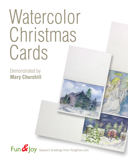# Watercolor Christmas Cards

 Demonstrated by  **Mary Churchill**

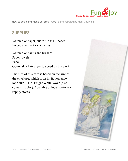

# **SUPPLIES**

Watercolor paper, cut to 4.5 x 11 inches Folded size: 4.25 x 5 inches

Watercolor paints and brushes Paper towels Pencil Optional: a hair dryer to speed up the work

The size of this card is based on the size of the envelope, which is an invitation envelope size, 24 lb. Bright White Wove (also comes in color). Available at local stationery supply stores.

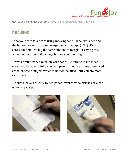

## **DRAWING**

Tape your card to a board using masking tape. Tape two sides and the bottom leaving an equal margin under the tape (1/4"). Tape across the fold leaving the same amount of margin. Leaving this white border around the image frames your painting.

Draw a preliminary sketch on your paper. Be sure to make it dark enough to be able to follow as you paint. If you are an inexperienced artist, choose a subject which is not too detailed until you are more experienced.

Be sure a have a thickly folded paper towel to wipe brushes or clean up excess water.



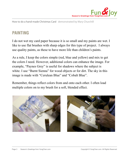

### **PAINTING**

I do not wet my card paper because it is so small and my paints are wet. I like to use flat brushes with sharp edges for this type of project. I always use quality paints, as these to have more life than children's paints.

As a rule, I keep the colors simple (red, blue and yellow) and mix to get the colors I need. However, additional colors can enhance the image. For example, "Paynes Grey" is useful for shadows where the subject is white. I use "Burnt Sienna" for wood objects or for dirt. The sky in this image is made with "Cerulean Blue" and "Cobalt Blue".

Remember, things reflect colors from and onto each other. I often load multiple colors on to my brush for a soft, blended effect.



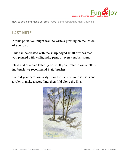

# **LAST NOTE**

At this point, you might want to write a greeting on the inside of your card.

This can be created with the sharp-edged small brushes that you painted with, calligraphy pens, or even a rubber stamp.

Plaid makes a nice lettering brush. If you prefer to use a lettering brush, we recommend Plaid brushes.

To fold your card, use a stylus or the back of your scissors and a ruler to make a score line, then fold along the line.